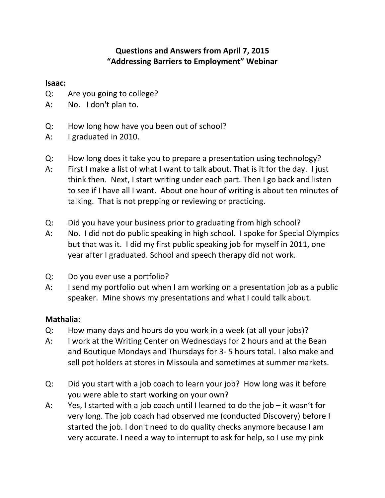# **Questions and Answers from April 7, 2015 "Addressing Barriers to Employment" Webinar**

### **Isaac:**

- Q: Are you going to college?
- A: No. I don't plan to.
- Q: How long how have you been out of school?
- A: I graduated in 2010.
- Q: How long does it take you to prepare a presentation using technology?
- A: First I make a list of what I want to talk about. That is it for the day. I just think then. Next, I start writing under each part. Then I go back and listen to see if I have all I want. About one hour of writing is about ten minutes of talking. That is not prepping or reviewing or practicing.
- Q: Did you have your business prior to graduating from high school?
- A: No. I did not do public speaking in high school. I spoke for Special Olympics but that was it. I did my first public speaking job for myself in 2011, one year after I graduated. School and speech therapy did not work.
- Q: Do you ever use a portfolio?
- A: I send my portfolio out when I am working on a presentation job as a public speaker. Mine shows my presentations and what I could talk about.

## **Mathalia:**

- Q: How many days and hours do you work in a week (at all your jobs)?
- A: I work at the Writing Center on Wednesdays for 2 hours and at the Bean and Boutique Mondays and Thursdays for 3- 5 hours total. I also make and sell pot holders at stores in Missoula and sometimes at summer markets.
- Q: Did you start with a job coach to learn your job? How long was it before you were able to start working on your own?
- A: Yes, I started with a job coach until I learned to do the job it wasn't for very long. The job coach had observed me (conducted Discovery) before I started the job. I don't need to do quality checks anymore because I am very accurate. I need a way to interrupt to ask for help, so I use my pink